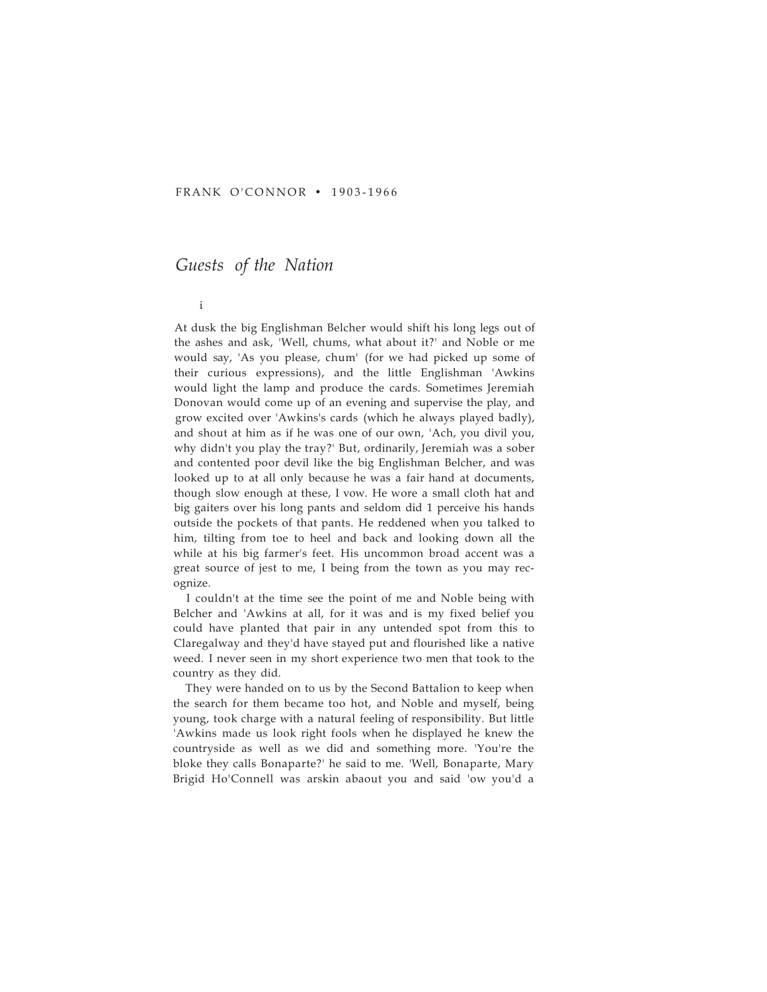# FRANK O'CONNOR . 1903-1966

# *Guests of the Nation*

i

At dusk the big Englishman Belcher would shift his long legs out of the ashes and ask, 'Well, chums, what about it?' and Noble or me would say, 'As you please, chum' (for we had picked up some of their curious expressions), and the little Englishman 'Awkins would light the lamp and produce the cards. Sometimes Jeremiah Donovan would come up of an evening and supervise the play, and grow excited over 'Awkins's cards (which he always played badly), and shout at him as if he was one of our own, 'Ach, you divil you, why didn't you play the tray?' But, ordinarily, Jeremiah was a sober and contented poor devil like the big Englishman Belcher, and was looked up to at all only because he was a fair hand at documents, though slow enough at these, I vow. He wore a small cloth hat and big gaiters over his long pants and seldom did 1 perceive his hands outside the pockets of that pants. He reddened when you talked to him, tilting from toe to heel and back and looking down all the while at his big farmer's feet. His uncommon broad accent was a great source of jest to me, I being from the town as you may recognize.

I couldn't at the time see the point of me and Noble being with Belcher and 'Awkins at all, for it was and is my fixed belief you could have planted that pair in any untended spot from this to Claregalway and they'd have stayed put and flourished like a native weed. I never seen in my short experience two men that took to the country as they did.

They were handed on to us by the Second Battalion to keep when the search for them became too hot, and Noble and myself, being young, took charge with a natural feeling of responsibility. But little 'Awkins made us look right fools when he displayed he knew the countryside as well as we did and something more. 'You're the bloke they calls Bonaparte?' he said to me. 'Well, Bonaparte, Mary Brigid Ho'Connell was arskin abaout you and said 'ow you'd a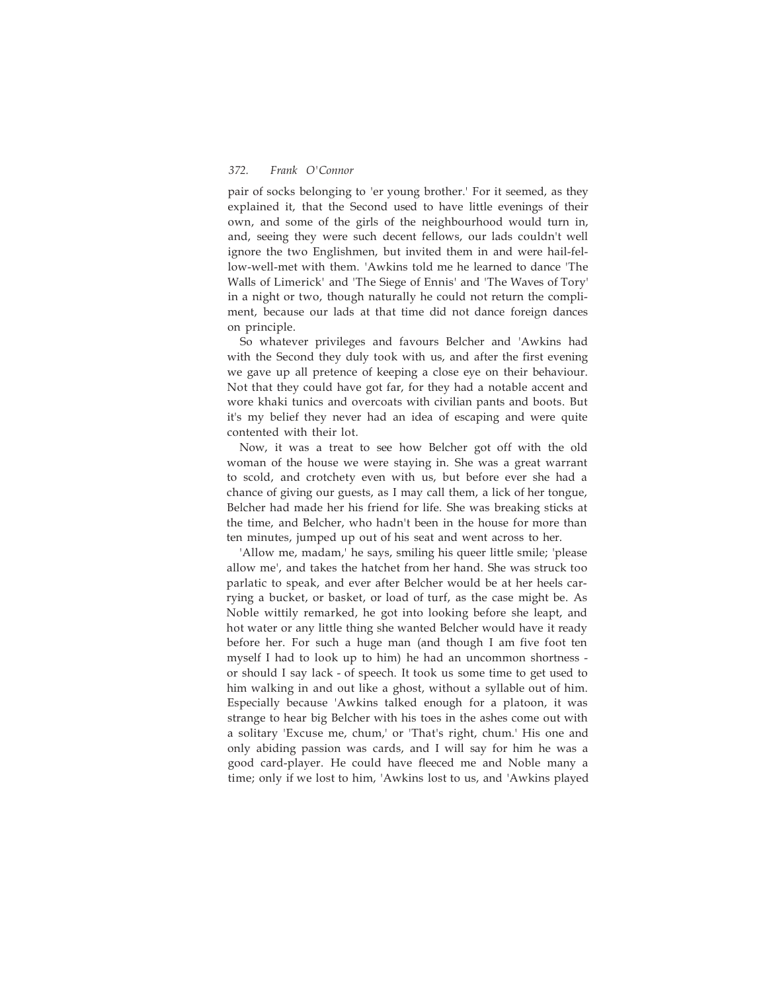pair of socks belonging to 'er young brother.' For it seemed, as they explained it, that the Second used to have little evenings of their own, and some of the girls of the neighbourhood would turn in, and, seeing they were such decent fellows, our lads couldn't well ignore the two Englishmen, but invited them in and were hail-fellow-well-met with them. 'Awkins told me he learned to dance 'The Walls of Limerick' and 'The Siege of Ennis' and 'The Waves of Tory' in a night or two, though naturally he could not return the compliment, because our lads at that time did not dance foreign dances on principle.

So whatever privileges and favours Belcher and 'Awkins had with the Second they duly took with us, and after the first evening we gave up all pretence of keeping a close eye on their behaviour. Not that they could have got far, for they had a notable accent and wore khaki tunics and overcoats with civilian pants and boots. But it's my belief they never had an idea of escaping and were quite contented with their lot.

Now, it was a treat to see how Belcher got off with the old woman of the house we were staying in. She was a great warrant to scold, and crotchety even with us, but before ever she had a chance of giving our guests, as I may call them, a lick of her tongue, Belcher had made her his friend for life. She was breaking sticks at the time, and Belcher, who hadn't been in the house for more than ten minutes, jumped up out of his seat and went across to her.

'Allow me, madam,' he says, smiling his queer little smile; 'please allow me', and takes the hatchet from her hand. She was struck too parlatic to speak, and ever after Belcher would be at her heels carrying a bucket, or basket, or load of turf, as the case might be. As Noble wittily remarked, he got into looking before she leapt, and hot water or any little thing she wanted Belcher would have it ready before her. For such a huge man (and though I am five foot ten myself I had to look up to him) he had an uncommon shortness or should I say lack - of speech. It took us some time to get used to him walking in and out like a ghost, without a syllable out of him. Especially because 'Awkins talked enough for a platoon, it was strange to hear big Belcher with his toes in the ashes come out with a solitary 'Excuse me, chum,' or 'That's right, chum.' His one and only abiding passion was cards, and I will say for him he was a good card-player. He could have fleeced me and Noble many a time; only if we lost to him, 'Awkins lost to us, and 'Awkins played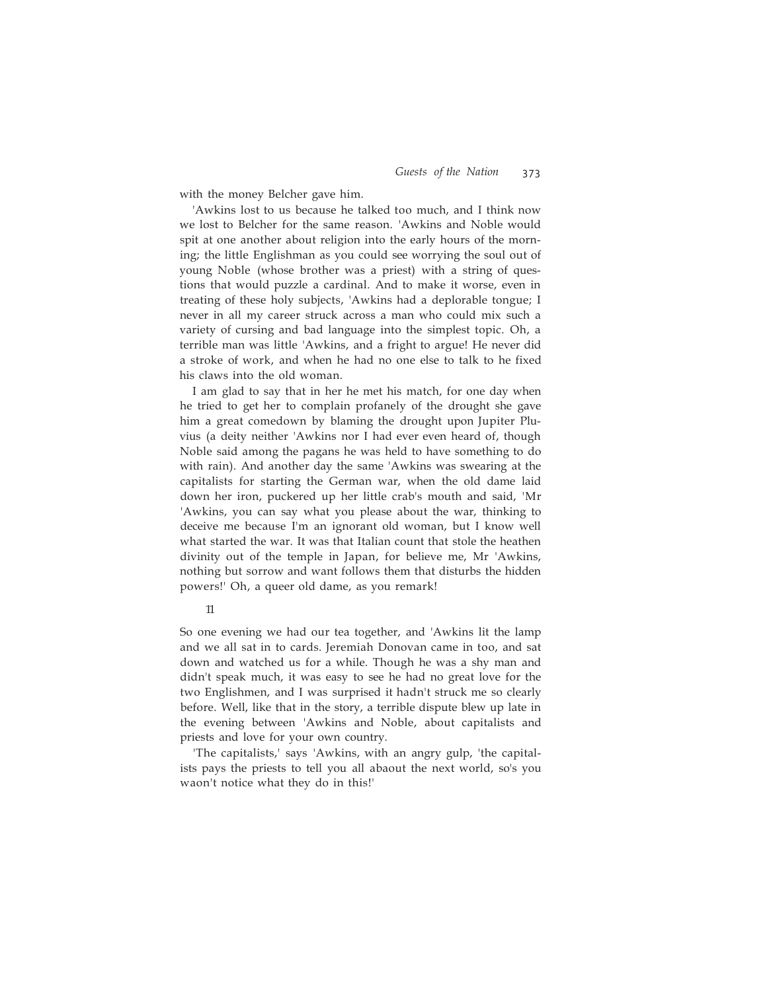with the money Belcher gave him.

'Awkins lost to us because he talked too much, and I think now we lost to Belcher for the same reason. 'Awkins and Noble would spit at one another about religion into the early hours of the morning; the little Englishman as you could see worrying the soul out of young Noble (whose brother was a priest) with a string of questions that would puzzle a cardinal. And to make it worse, even in treating of these holy subjects, 'Awkins had a deplorable tongue; I never in all my career struck across a man who could mix such a variety of cursing and bad language into the simplest topic. Oh, a terrible man was little 'Awkins, and a fright to argue! He never did a stroke of work, and when he had no one else to talk to he fixed his claws into the old woman.

I am glad to say that in her he met his match, for one day when he tried to get her to complain profanely of the drought she gave him a great comedown by blaming the drought upon Jupiter Pluvius (a deity neither 'Awkins nor I had ever even heard of, though Noble said among the pagans he was held to have something to do with rain). And another day the same 'Awkins was swearing at the capitalists for starting the German war, when the old dame laid down her iron, puckered up her little crab's mouth and said, 'Mr 'Awkins, you can say what you please about the war, thinking to deceive me because I'm an ignorant old woman, but I know well what started the war. It was that Italian count that stole the heathen divinity out of the temple in Japan, for believe me, Mr 'Awkins, nothing but sorrow and want follows them that disturbs the hidden powers!' Oh, a queer old dame, as you remark!

11

So one evening we had our tea together, and 'Awkins lit the lamp and we all sat in to cards. Jeremiah Donovan came in too, and sat down and watched us for a while. Though he was a shy man and didn't speak much, it was easy to see he had no great love for the two Englishmen, and I was surprised it hadn't struck me so clearly before. Well, like that in the story, a terrible dispute blew up late in the evening between 'Awkins and Noble, about capitalists and priests and love for your own country.

'The capitalists,' says 'Awkins, with an angry gulp, 'the capitalists pays the priests to tell you all abaout the next world, so's you waon't notice what they do in this!'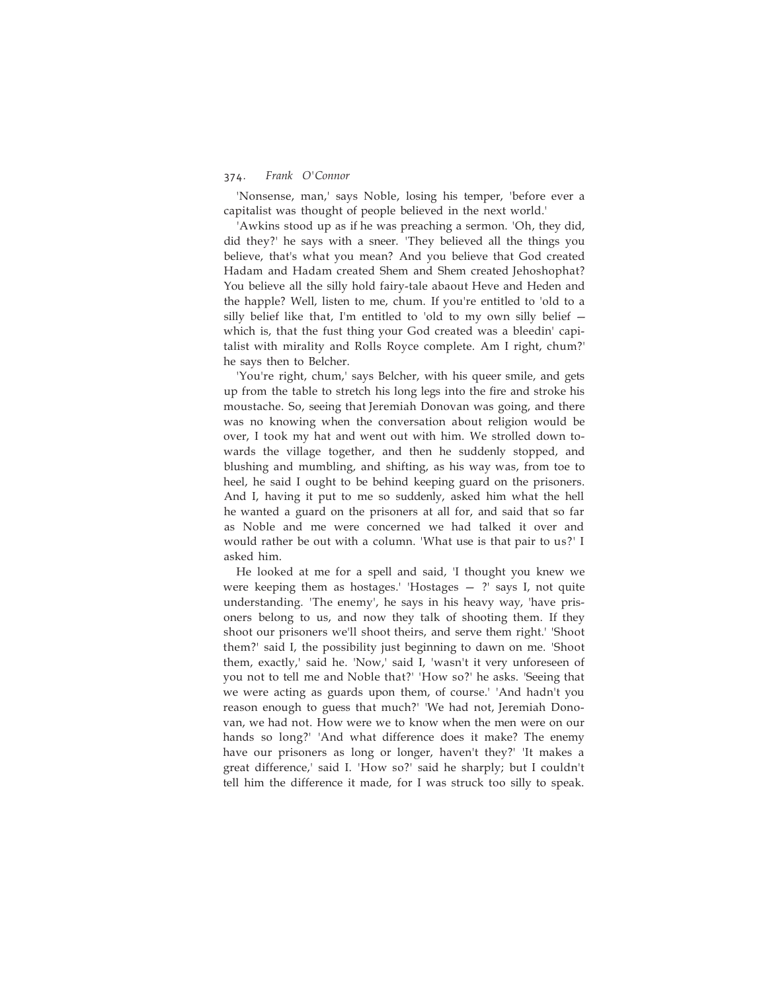'Nonsense, man,' says Noble, losing his temper, 'before ever a capitalist was thought of people believed in the next world.'

'Awkins stood up as if he was preaching a sermon. 'Oh, they did, did they?' he says with a sneer. 'They believed all the things you believe, that's what you mean? And you believe that God created Hadam and Hadam created Shem and Shem created Jehoshophat? You believe all the silly hold fairy-tale abaout Heve and Heden and the happle? Well, listen to me, chum. If you're entitled to 'old to a silly belief like that, I'm entitled to 'old to my own silly belief which is, that the fust thing your God created was a bleedin' capitalist with mirality and Rolls Royce complete. Am I right, chum?' he says then to Belcher.

'You're right, chum,' says Belcher, with his queer smile, and gets up from the table to stretch his long legs into the fire and stroke his moustache. So, seeing that Jeremiah Donovan was going, and there was no knowing when the conversation about religion would be over, I took my hat and went out with him. We strolled down towards the village together, and then he suddenly stopped, and blushing and mumbling, and shifting, as his way was, from toe to heel, he said I ought to be behind keeping guard on the prisoners. And I, having it put to me so suddenly, asked him what the hell he wanted a guard on the prisoners at all for, and said that so far as Noble and me were concerned we had talked it over and would rather be out with a column. 'What use is that pair to us?' I asked him.

He looked at me for a spell and said, 'I thought you knew we were keeping them as hostages.' 'Hostages  $-$  ?' says I, not quite understanding. 'The enemy', he says in his heavy way, 'have prisoners belong to us, and now they talk of shooting them. If they shoot our prisoners we'll shoot theirs, and serve them right.' 'Shoot them?' said I, the possibility just beginning to dawn on me. 'Shoot them, exactly,' said he. 'Now,' said I, 'wasn't it very unforeseen of you not to tell me and Noble that?' 'How so?' he asks. 'Seeing that we were acting as guards upon them, of course.' 'And hadn't you reason enough to guess that much?' 'We had not, Jeremiah Donovan, we had not. How were we to know when the men were on our hands so long?' 'And what difference does it make? The enemy have our prisoners as long or longer, haven't they?' 'It makes a great difference,' said I. 'How so?' said he sharply; but I couldn't tell him the difference it made, for I was struck too silly to speak.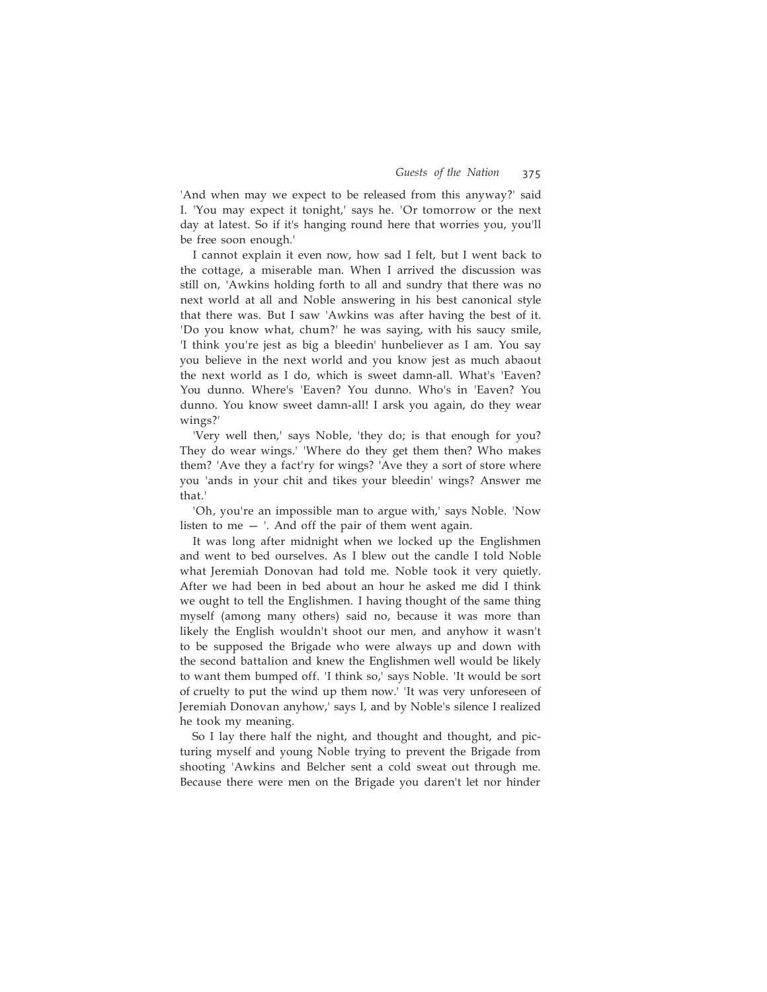'And when may we expect to be released from this anyway?' said I. 'You may expect it tonight,' says he. 'Or tomorrow or the next day at latest. So if it's hanging round here that worries you, you'll be free soon enough.'

I cannot explain it even now, how sad I felt, but I went back to the cottage, a miserable man. When I arrived the discussion was still on, 'Awkins holding forth to all and sundry that there was no next world at all and Noble answering in his best canonical style that there was. But I saw 'Awkins was after having the best of it. 'Do you know what, chum?' he was saying, with his saucy smile, 'I think you're jest as big a bleedin' hunbeliever as I am. You say you believe in the next world and you know jest as much abaout the next world as I do, which is sweet damn-all. What's 'Eaven? You dunno. Where's 'Eaven? You dunno. Who's in 'Eaven? You dunno. You know sweet damn-all! I arsk you again, do they wear wings?'

'Very well then,' says Noble, 'they do; is that enough for you? They do wear wings.' 'Where do they get them then? Who makes them? 'Ave they a fact'ry for wings? 'Ave they a sort of store where you 'ands in your chit and tikes your bleedin' wings? Answer me that.'

'Oh, you're an impossible man to argue with,' says Noble. 'Now listen to me  $-$  '. And off the pair of them went again.

It was long after midnight when we locked up the Englishmen and went to bed ourselves. As I blew out the candle I told Noble what Jeremiah Donovan had told me. Noble took it very quietly. After we had been in bed about an hour he asked me did I think we ought to tell the Englishmen. I having thought of the same thing myself (among many others) said no, because it was more than likely the English wouldn't shoot our men, and anyhow it wasn't to be supposed the Brigade who were always up and down with the second battalion and knew the Englishmen well would be likely to want them bumped off. 'I think so,' says Noble. 'It would be sort of cruelty to put the wind up them now.' 'It was very unforeseen of Jeremiah Donovan anyhow,' says I, and by Noble's silence I realized he took my meaning.

So I lay there half the night, and thought and thought, and picturing myself and young Noble trying to prevent the Brigade from shooting 'Awkins and Belcher sent a cold sweat out through me. Because there were men on the Brigade you daren't let nor hinder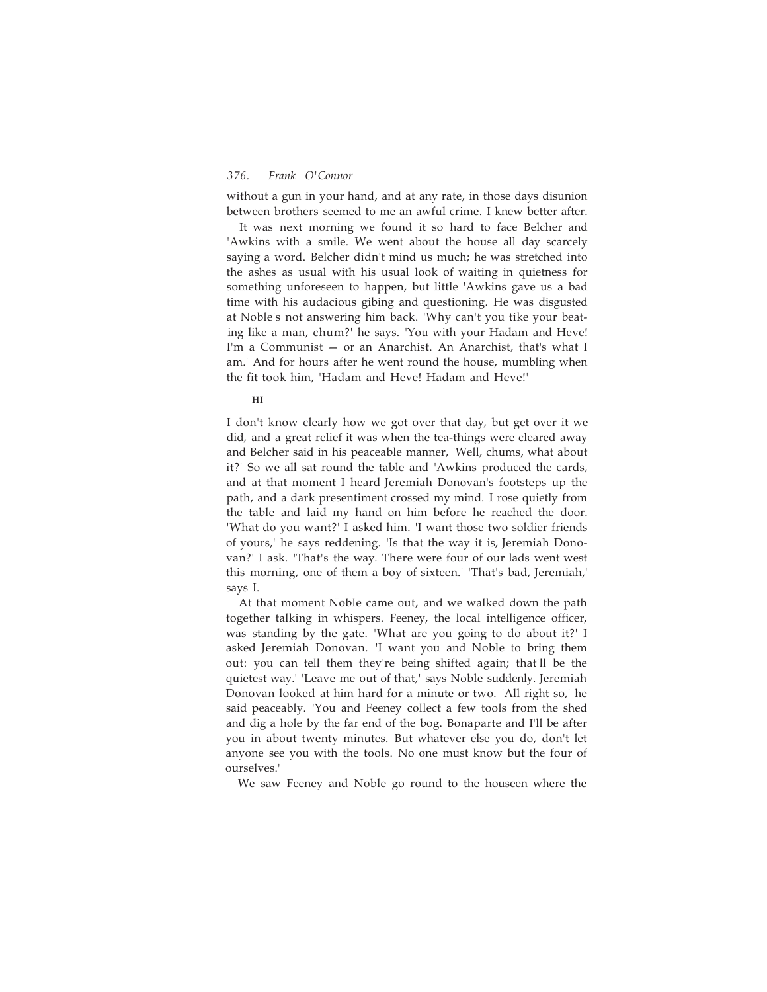without a gun in your hand, and at any rate, in those days disunion between brothers seemed to me an awful crime. I knew better after.

It was next morning we found it so hard to face Belcher and 'Awkins with a smile. We went about the house all day scarcely saying a word. Belcher didn't mind us much; he was stretched into the ashes as usual with his usual look of waiting in quietness for something unforeseen to happen, but little 'Awkins gave us a bad time with his audacious gibing and questioning. He was disgusted at Noble's not answering him back. 'Why can't you tike your beating like a man, chum?' he says. 'You with your Hadam and Heve! I'm a Communist — or an Anarchist. An Anarchist, that's what I am.' And for hours after he went round the house, mumbling when the fit took him, 'Hadam and Heve! Hadam and Heve!'

## **HI**

I don't know clearly how we got over that day, but get over it we did, and a great relief it was when the tea-things were cleared away and Belcher said in his peaceable manner, 'Well, chums, what about it?' So we all sat round the table and 'Awkins produced the cards, and at that moment I heard Jeremiah Donovan's footsteps up the path, and a dark presentiment crossed my mind. I rose quietly from the table and laid my hand on him before he reached the door. 'What do you want?' I asked him. 'I want those two soldier friends of yours,' he says reddening. 'Is that the way it is, Jeremiah Donovan?' I ask. 'That's the way. There were four of our lads went west this morning, one of them a boy of sixteen.' 'That's bad, Jeremiah,' says I.

At that moment Noble came out, and we walked down the path together talking in whispers. Feeney, the local intelligence officer, was standing by the gate. 'What are you going to do about it?' I asked Jeremiah Donovan. 'I want you and Noble to bring them out: you can tell them they're being shifted again; that'll be the quietest way.' 'Leave me out of that,' says Noble suddenly. Jeremiah Donovan looked at him hard for a minute or two. 'All right so,' he said peaceably. 'You and Feeney collect a few tools from the shed and dig a hole by the far end of the bog. Bonaparte and I'll be after you in about twenty minutes. But whatever else you do, don't let anyone see you with the tools. No one must know but the four of ourselves.'

We saw Feeney and Noble go round to the houseen where the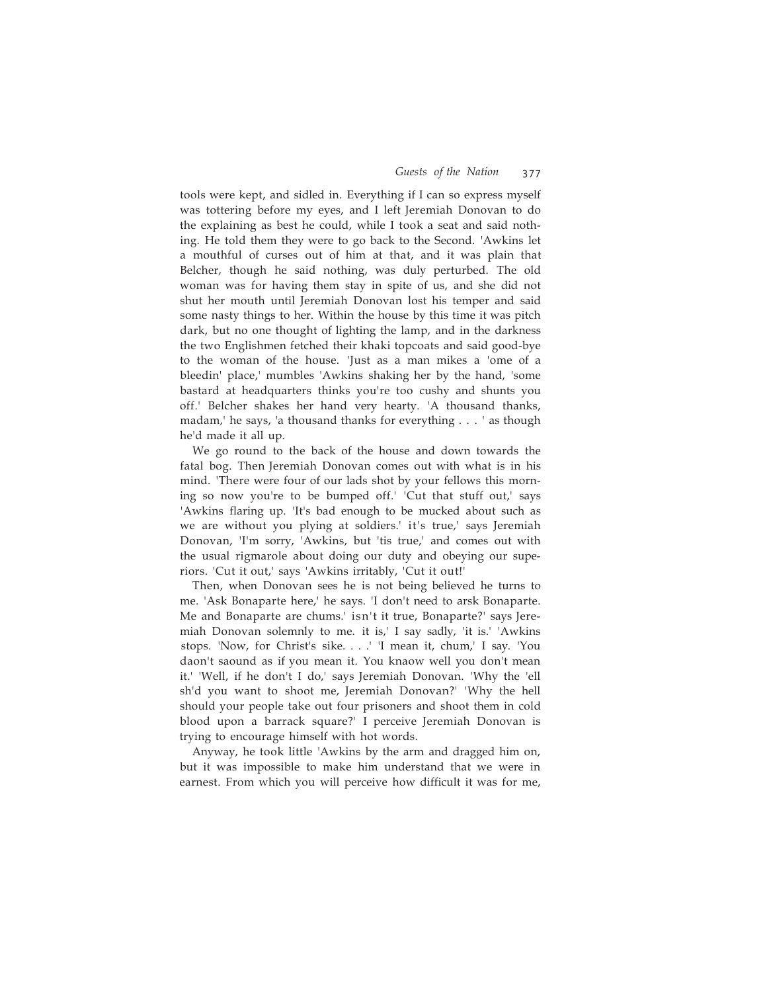tools were kept, and sidled in. Everything if I can so express myself was tottering before my eyes, and I left Jeremiah Donovan to do the explaining as best he could, while I took a seat and said nothing. He told them they were to go back to the Second. 'Awkins let a mouthful of curses out of him at that, and it was plain that Belcher, though he said nothing, was duly perturbed. The old woman was for having them stay in spite of us, and she did not shut her mouth until Jeremiah Donovan lost his temper and said some nasty things to her. Within the house by this time it was pitch dark, but no one thought of lighting the lamp, and in the darkness the two Englishmen fetched their khaki topcoats and said good-bye to the woman of the house. 'Just as a man mikes a 'ome of a bleedin' place,' mumbles 'Awkins shaking her by the hand, 'some bastard at headquarters thinks you're too cushy and shunts you off.' Belcher shakes her hand very hearty. 'A thousand thanks, madam,' he says, 'a thousand thanks for everything . . . ' as though he'd made it all up.

We go round to the back of the house and down towards the fatal bog. Then Jeremiah Donovan comes out with what is in his mind. 'There were four of our lads shot by your fellows this morning so now you're to be bumped off.' 'Cut that stuff out,' says 'Awkins flaring up. 'It's bad enough to be mucked about such as we are without you plying at soldiers.' it's true,' says Jeremiah Donovan, 'I'm sorry, 'Awkins, but 'tis true,' and comes out with the usual rigmarole about doing our duty and obeying our superiors. 'Cut it out,' says 'Awkins irritably, 'Cut it out!'

Then, when Donovan sees he is not being believed he turns to me. 'Ask Bonaparte here,' he says. 'I don't need to arsk Bonaparte. Me and Bonaparte are chums.' isn't it true, Bonaparte?' says Jeremiah Donovan solemnly to me. it is,' I say sadly, 'it is.' 'Awkins stops. 'Now, for Christ's sike. . . .' 'I mean it, chum,' I say. 'You daon't saound as if you mean it. You knaow well you don't mean it.' 'Well, if he don't I do,' says Jeremiah Donovan. 'Why the 'ell sh'd you want to shoot me, Jeremiah Donovan?' 'Why the hell should your people take out four prisoners and shoot them in cold blood upon a barrack square?' I perceive Jeremiah Donovan is trying to encourage himself with hot words.

Anyway, he took little 'Awkins by the arm and dragged him on, but it was impossible to make him understand that we were in earnest. From which you will perceive how difficult it was for me,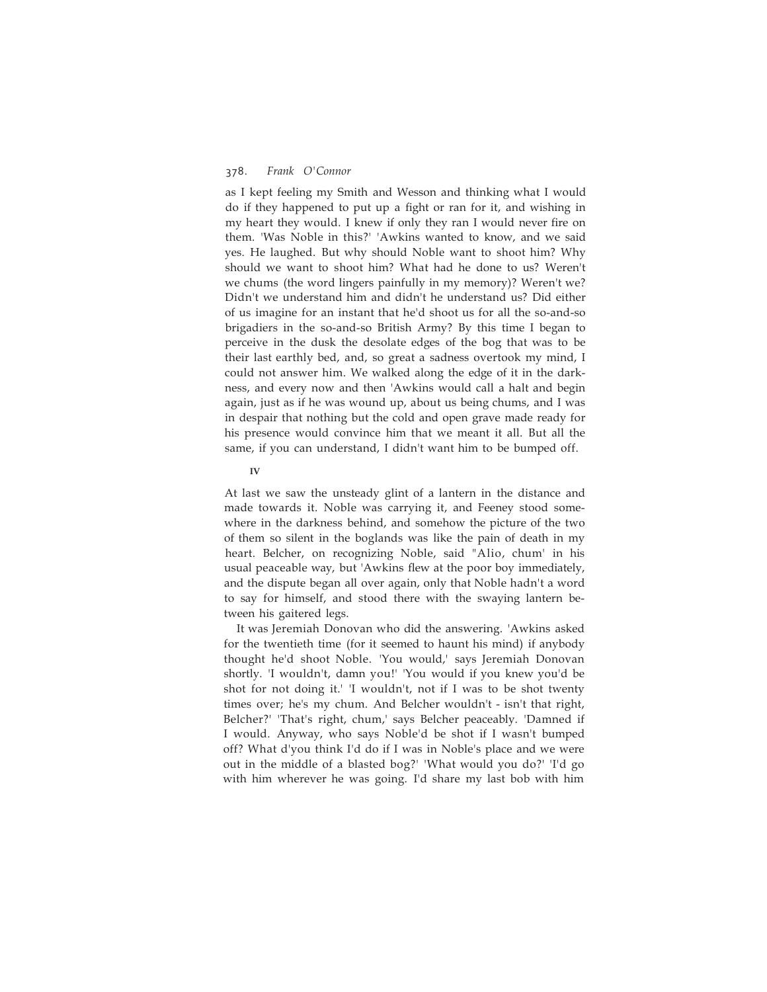as I kept feeling my Smith and Wesson and thinking what I would do if they happened to put up a fight or ran for it, and wishing in my heart they would. I knew if only they ran I would never fire on them. 'Was Noble in this?' 'Awkins wanted to know, and we said yes. He laughed. But why should Noble want to shoot him? Why should we want to shoot him? What had he done to us? Weren't we chums (the word lingers painfully in my memory)? Weren't we? Didn't we understand him and didn't he understand us? Did either of us imagine for an instant that he'd shoot us for all the so-and-so brigadiers in the so-and-so British Army? By this time I began to perceive in the dusk the desolate edges of the bog that was to be their last earthly bed, and, so great a sadness overtook my mind, I could not answer him. We walked along the edge of it in the darkness, and every now and then 'Awkins would call a halt and begin again, just as if he was wound up, about us being chums, and I was in despair that nothing but the cold and open grave made ready for his presence would convince him that we meant it all. But all the same, if you can understand, I didn't want him to be bumped off.

#### **IV**

At last we saw the unsteady glint of a lantern in the distance and made towards it. Noble was carrying it, and Feeney stood somewhere in the darkness behind, and somehow the picture of the two of them so silent in the boglands was like the pain of death in my heart. Belcher, on recognizing Noble, said "Alio, chum' in his usual peaceable way, but 'Awkins flew at the poor boy immediately, and the dispute began all over again, only that Noble hadn't a word to say for himself, and stood there with the swaying lantern between his gaitered legs.

It was Jeremiah Donovan who did the answering. 'Awkins asked for the twentieth time (for it seemed to haunt his mind) if anybody thought he'd shoot Noble. 'You would,' says Jeremiah Donovan shortly. 'I wouldn't, damn you!' 'You would if you knew you'd be shot for not doing it.' 'I wouldn't, not if I was to be shot twenty times over; he's my chum. And Belcher wouldn't - isn't that right, Belcher?' 'That's right, chum,' says Belcher peaceably. 'Damned if I would. Anyway, who says Noble'd be shot if I wasn't bumped off? What d'you think I'd do if I was in Noble's place and we were out in the middle of a blasted bog?' 'What would you do?' 'I'd go with him wherever he was going. I'd share my last bob with him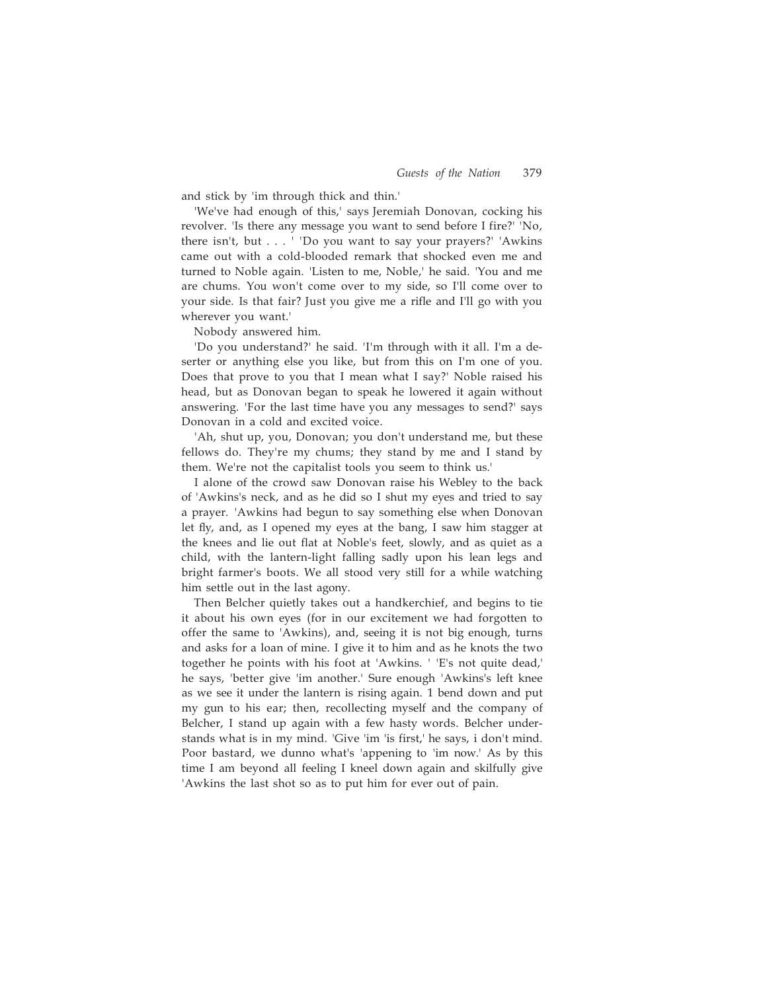and stick by 'im through thick and thin.'

'We've had enough of this,' says Jeremiah Donovan, cocking his revolver. 'Is there any message you want to send before I fire?' 'No, there isn't, but . . . ' 'Do you want to say your prayers?' 'Awkins came out with a cold-blooded remark that shocked even me and turned to Noble again. 'Listen to me, Noble,' he said. 'You and me are chums. You won't come over to my side, so I'll come over to your side. Is that fair? Just you give me a rifle and I'll go with you wherever you want.'

Nobody answered him.

'Do you understand?' he said. 'I'm through with it all. I'm a deserter or anything else you like, but from this on I'm one of you. Does that prove to you that I mean what I say?' Noble raised his head, but as Donovan began to speak he lowered it again without answering. 'For the last time have you any messages to send?' says Donovan in a cold and excited voice.

'Ah, shut up, you, Donovan; you don't understand me, but these fellows do. They're my chums; they stand by me and I stand by them. We're not the capitalist tools you seem to think us.'

I alone of the crowd saw Donovan raise his Webley to the back of 'Awkins's neck, and as he did so I shut my eyes and tried to say a prayer. 'Awkins had begun to say something else when Donovan let fly, and, as I opened my eyes at the bang, I saw him stagger at the knees and lie out flat at Noble's feet, slowly, and as quiet as a child, with the lantern-light falling sadly upon his lean legs and bright farmer's boots. We all stood very still for a while watching him settle out in the last agony.

Then Belcher quietly takes out a handkerchief, and begins to tie it about his own eyes (for in our excitement we had forgotten to offer the same to 'Awkins), and, seeing it is not big enough, turns and asks for a loan of mine. I give it to him and as he knots the two together he points with his foot at 'Awkins. ' 'E's not quite dead,' he says, 'better give 'im another.' Sure enough 'Awkins's left knee as we see it under the lantern is rising again. 1 bend down and put my gun to his ear; then, recollecting myself and the company of Belcher, I stand up again with a few hasty words. Belcher understands what is in my mind. 'Give 'im 'is first,' he says, i don't mind. Poor bastard, we dunno what's 'appening to 'im now.' As by this time I am beyond all feeling I kneel down again and skilfully give 'Awkins the last shot so as to put him for ever out of pain.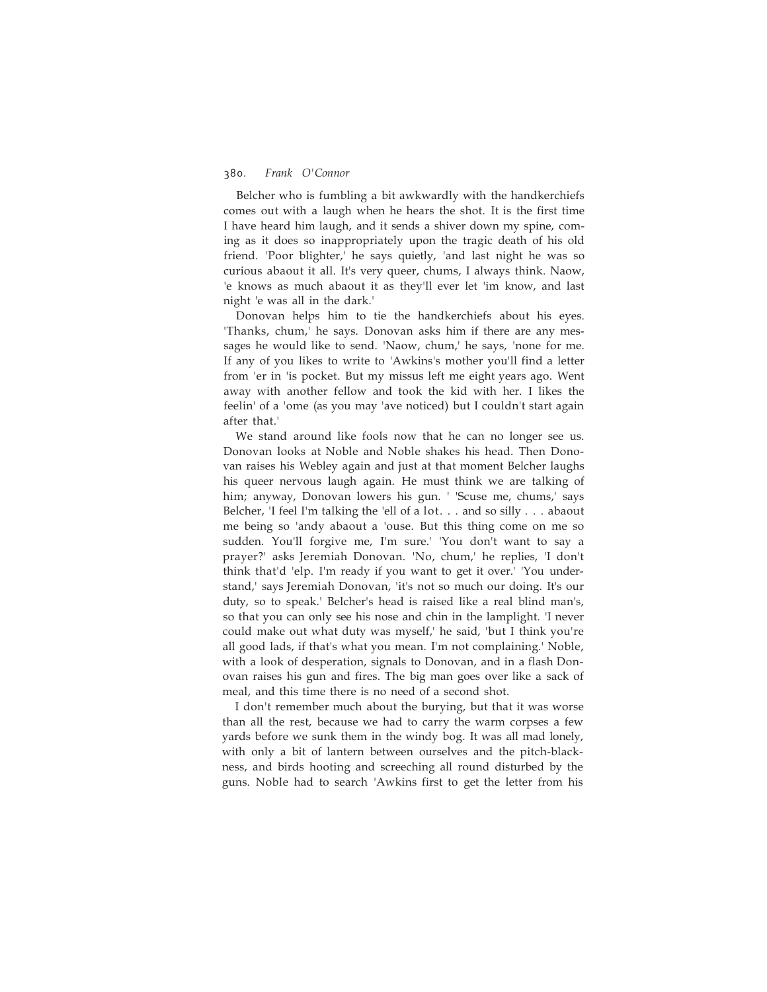Belcher who is fumbling a bit awkwardly with the handkerchiefs comes out with a laugh when he hears the shot. It is the first time I have heard him laugh, and it sends a shiver down my spine, coming as it does so inappropriately upon the tragic death of his old friend. 'Poor blighter,' he says quietly, 'and last night he was so curious abaout it all. It's very queer, chums, I always think. Naow, 'e knows as much abaout it as they'll ever let 'im know, and last night 'e was all in the dark.'

Donovan helps him to tie the handkerchiefs about his eyes. 'Thanks, chum,' he says. Donovan asks him if there are any messages he would like to send. 'Naow, chum,' he says, 'none for me. If any of you likes to write to 'Awkins's mother you'll find a letter from 'er in 'is pocket. But my missus left me eight years ago. Went away with another fellow and took the kid with her. I likes the feelin' of a 'ome (as you may 'ave noticed) but I couldn't start again after that.'

We stand around like fools now that he can no longer see us. Donovan looks at Noble and Noble shakes his head. Then Donovan raises his Webley again and just at that moment Belcher laughs his queer nervous laugh again. He must think we are talking of him; anyway, Donovan lowers his gun. ' 'Scuse me, chums,' says Belcher, 'I feel I'm talking the 'ell of a lot. . . and so silly . . . abaout me being so 'andy abaout a 'ouse. But this thing come on me so sudden. You'll forgive me, I'm sure.' 'You don't want to say a prayer?' asks Jeremiah Donovan. 'No, chum,' he replies, 'I don't think that'd 'elp. I'm ready if you want to get it over.' 'You understand,' says Jeremiah Donovan, 'it's not so much our doing. It's our duty, so to speak.' Belcher's head is raised like a real blind man's, so that you can only see his nose and chin in the lamplight. 'I never could make out what duty was myself,' he said, 'but I think you're all good lads, if that's what you mean. I'm not complaining.' Noble, with a look of desperation, signals to Donovan, and in a flash Donovan raises his gun and fires. The big man goes over like a sack of meal, and this time there is no need of a second shot.

I don't remember much about the burying, but that it was worse than all the rest, because we had to carry the warm corpses a few yards before we sunk them in the windy bog. It was all mad lonely, with only a bit of lantern between ourselves and the pitch-blackness, and birds hooting and screeching all round disturbed by the guns. Noble had to search 'Awkins first to get the letter from his